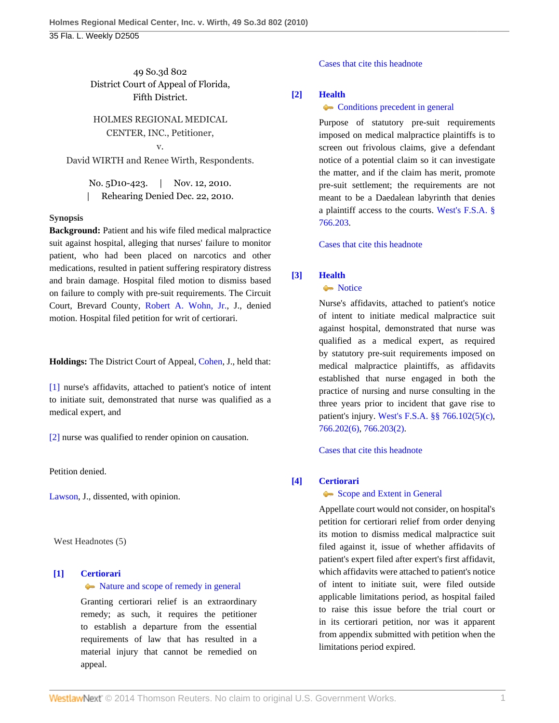49 So.3d 802 District Court of Appeal of Florida, Fifth District.

HOLMES REGIONAL MEDICAL CENTER, INC., Petitioner,

v. David WIRTH and Renee Wirth, Respondents.

> No. 5D10-423. | Nov. 12, 2010. | Rehearing Denied Dec. 22, 2010.

## **Synopsis**

**Background:** Patient and his wife filed medical malpractice suit against hospital, alleging that nurses' failure to monitor patient, who had been placed on narcotics and other medications, resulted in patient suffering respiratory distress and brain damage. Hospital filed motion to dismiss based on failure to comply with pre-suit requirements. The Circuit Court, Brevard County, [Robert A. Wohn, Jr.](http://www.westlaw.com/Link/Document/FullText?findType=h&pubNum=176284&cite=0154876201&originatingDoc=I3af20621ee4811df88699d6fd571daba&refType=RQ&originationContext=document&vr=3.0&rs=cblt1.0&transitionType=DocumentItem&contextData=(sc.Default)), J., denied motion. Hospital filed petition for writ of certiorari.

**Holdings:** The District Court of Appeal, [Cohen,](http://www.westlaw.com/Link/Document/FullText?findType=h&pubNum=176284&cite=0153534101&originatingDoc=I3af20621ee4811df88699d6fd571daba&refType=RQ&originationContext=document&vr=3.0&rs=cblt1.0&transitionType=DocumentItem&contextData=(sc.Default)) J., held that:

[\[1\]](#page-0-0) nurse's affidavits, attached to patient's notice of intent to initiate suit, demonstrated that nurse was qualified as a medical expert, and

[\[2\]](#page-1-0) nurse was qualified to render opinion on causation.

Petition denied.

[Lawson,](http://www.westlaw.com/Link/Document/FullText?findType=h&pubNum=176284&cite=0126678901&originatingDoc=I3af20621ee4811df88699d6fd571daba&refType=RQ&originationContext=document&vr=3.0&rs=cblt1.0&transitionType=DocumentItem&contextData=(sc.Default)) J., dissented, with opinion.

West Headnotes (5)

# <span id="page-0-1"></span>**[\[1\]](#page-2-0) [Certiorari](http://www.westlaw.com/Browse/Home/KeyNumber/73/View.html?docGuid=I3af20621ee4811df88699d6fd571daba&originationContext=document&vr=3.0&rs=cblt1.0&transitionType=DocumentItem&contextData=(sc.Default))**

 $\blacklozenge$  [Nature and scope of remedy in general](http://www.westlaw.com/Browse/Home/KeyNumber/73k1/View.html?docGuid=I3af20621ee4811df88699d6fd571daba&originationContext=document&vr=3.0&rs=cblt1.0&transitionType=DocumentItem&contextData=(sc.Default))

Granting certiorari relief is an extraordinary remedy; as such, it requires the petitioner to establish a departure from the essential requirements of law that has resulted in a material injury that cannot be remedied on appeal.

[Cases that cite this headnote](http://www.westlaw.com/Link/RelatedInformation/DocHeadnoteLink?docGuid=I3af20621ee4811df88699d6fd571daba&headnoteId=202371159500120110314081409&originationContext=document&vr=3.0&rs=cblt1.0&transitionType=CitingReferences&contextData=(sc.Default))

## <span id="page-0-2"></span>**[\[2\]](#page-2-1) [Health](http://www.westlaw.com/Browse/Home/KeyNumber/198H/View.html?docGuid=I3af20621ee4811df88699d6fd571daba&originationContext=document&vr=3.0&rs=cblt1.0&transitionType=DocumentItem&contextData=(sc.Default))**

#### **[Conditions precedent in general](http://www.westlaw.com/Browse/Home/KeyNumber/198Hk803/View.html?docGuid=I3af20621ee4811df88699d6fd571daba&originationContext=document&vr=3.0&rs=cblt1.0&transitionType=DocumentItem&contextData=(sc.Default))**

Purpose of statutory pre-suit requirements imposed on medical malpractice plaintiffs is to screen out frivolous claims, give a defendant notice of a potential claim so it can investigate the matter, and if the claim has merit, promote pre-suit settlement; the requirements are not meant to be a Daedalean labyrinth that denies a plaintiff access to the courts. [West's F.S.A. §](http://www.westlaw.com/Link/Document/FullText?findType=L&pubNum=1000006&cite=FLSTS766.203&originatingDoc=I3af20621ee4811df88699d6fd571daba&refType=LQ&originationContext=document&vr=3.0&rs=cblt1.0&transitionType=DocumentItem&contextData=(sc.Default)) [766.203](http://www.westlaw.com/Link/Document/FullText?findType=L&pubNum=1000006&cite=FLSTS766.203&originatingDoc=I3af20621ee4811df88699d6fd571daba&refType=LQ&originationContext=document&vr=3.0&rs=cblt1.0&transitionType=DocumentItem&contextData=(sc.Default)).

[Cases that cite this headnote](http://www.westlaw.com/Link/RelatedInformation/DocHeadnoteLink?docGuid=I3af20621ee4811df88699d6fd571daba&headnoteId=202371159500220110314081409&originationContext=document&vr=3.0&rs=cblt1.0&transitionType=CitingReferences&contextData=(sc.Default))

# <span id="page-0-0"></span>**[\[3\]](#page-3-0) [Health](http://www.westlaw.com/Browse/Home/KeyNumber/198H/View.html?docGuid=I3af20621ee4811df88699d6fd571daba&originationContext=document&vr=3.0&rs=cblt1.0&transitionType=DocumentItem&contextData=(sc.Default))**

• [Notice](http://www.westlaw.com/Browse/Home/KeyNumber/198Hk807/View.html?docGuid=I3af20621ee4811df88699d6fd571daba&originationContext=document&vr=3.0&rs=cblt1.0&transitionType=DocumentItem&contextData=(sc.Default))

Nurse's affidavits, attached to patient's notice of intent to initiate medical malpractice suit against hospital, demonstrated that nurse was qualified as a medical expert, as required by statutory pre-suit requirements imposed on medical malpractice plaintiffs, as affidavits established that nurse engaged in both the practice of nursing and nurse consulting in the three years prior to incident that gave rise to patient's injury. [West's F.S.A. §§ 766.102\(5\)\(c\)](http://www.westlaw.com/Link/Document/FullText?findType=L&pubNum=1000006&cite=FLSTS766.102&originatingDoc=I3af20621ee4811df88699d6fd571daba&refType=SP&originationContext=document&vr=3.0&rs=cblt1.0&transitionType=DocumentItem&contextData=(sc.Default)#co_pp_2c980000aa201), [766.202\(6\),](http://www.westlaw.com/Link/Document/FullText?findType=L&pubNum=1000006&cite=FLSTS766.202&originatingDoc=I3af20621ee4811df88699d6fd571daba&refType=SP&originationContext=document&vr=3.0&rs=cblt1.0&transitionType=DocumentItem&contextData=(sc.Default)#co_pp_1e9a0000fd6a3) [766.203\(2\).](http://www.westlaw.com/Link/Document/FullText?findType=L&pubNum=1000006&cite=FLSTS766.203&originatingDoc=I3af20621ee4811df88699d6fd571daba&refType=SP&originationContext=document&vr=3.0&rs=cblt1.0&transitionType=DocumentItem&contextData=(sc.Default)#co_pp_58730000872b1)

[Cases that cite this headnote](http://www.westlaw.com/Link/RelatedInformation/DocHeadnoteLink?docGuid=I3af20621ee4811df88699d6fd571daba&headnoteId=202371159500320110314081409&originationContext=document&vr=3.0&rs=cblt1.0&transitionType=CitingReferences&contextData=(sc.Default))

# <span id="page-0-3"></span>**[\[4\]](#page-3-1) [Certiorari](http://www.westlaw.com/Browse/Home/KeyNumber/73/View.html?docGuid=I3af20621ee4811df88699d6fd571daba&originationContext=document&vr=3.0&rs=cblt1.0&transitionType=DocumentItem&contextData=(sc.Default))**

# [Scope and Extent in General](http://www.westlaw.com/Browse/Home/KeyNumber/73k64/View.html?docGuid=I3af20621ee4811df88699d6fd571daba&originationContext=document&vr=3.0&rs=cblt1.0&transitionType=DocumentItem&contextData=(sc.Default))

Appellate court would not consider, on hospital's petition for certiorari relief from order denying its motion to dismiss medical malpractice suit filed against it, issue of whether affidavits of patient's expert filed after expert's first affidavit, which affidavits were attached to patient's notice of intent to initiate suit, were filed outside applicable limitations period, as hospital failed to raise this issue before the trial court or in its certiorari petition, nor was it apparent from appendix submitted with petition when the limitations period expired.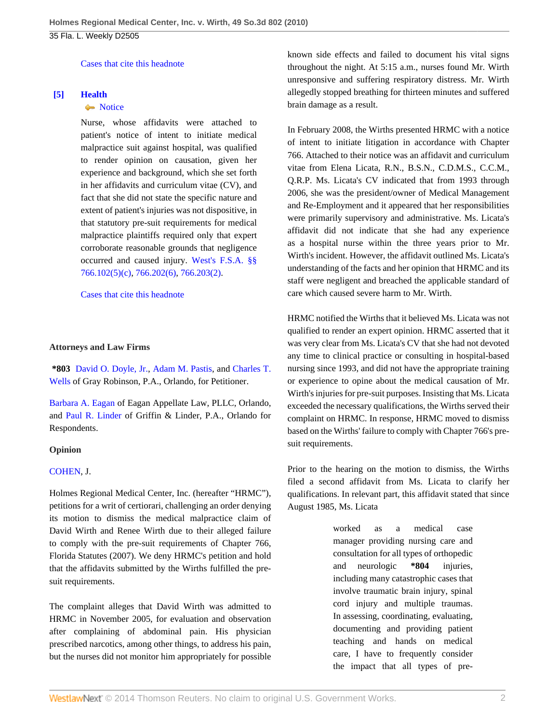[Cases that cite this headnote](http://www.westlaw.com/Link/RelatedInformation/DocHeadnoteLink?docGuid=I3af20621ee4811df88699d6fd571daba&headnoteId=202371159500420110314081409&originationContext=document&vr=3.0&rs=cblt1.0&transitionType=CitingReferences&contextData=(sc.Default))

## <span id="page-1-0"></span>**[\[5\]](#page-3-2) [Health](http://www.westlaw.com/Browse/Home/KeyNumber/198H/View.html?docGuid=I3af20621ee4811df88699d6fd571daba&originationContext=document&vr=3.0&rs=cblt1.0&transitionType=DocumentItem&contextData=(sc.Default))**

# **[Notice](http://www.westlaw.com/Browse/Home/KeyNumber/198Hk807/View.html?docGuid=I3af20621ee4811df88699d6fd571daba&originationContext=document&vr=3.0&rs=cblt1.0&transitionType=DocumentItem&contextData=(sc.Default))**

Nurse, whose affidavits were attached to patient's notice of intent to initiate medical malpractice suit against hospital, was qualified to render opinion on causation, given her experience and background, which she set forth in her affidavits and curriculum vitae (CV), and fact that she did not state the specific nature and extent of patient's injuries was not dispositive, in that statutory pre-suit requirements for medical malpractice plaintiffs required only that expert corroborate reasonable grounds that negligence occurred and caused injury. [West's F.S.A. §§](http://www.westlaw.com/Link/Document/FullText?findType=L&pubNum=1000006&cite=FLSTS766.102&originatingDoc=I3af20621ee4811df88699d6fd571daba&refType=SP&originationContext=document&vr=3.0&rs=cblt1.0&transitionType=DocumentItem&contextData=(sc.Default)#co_pp_2c980000aa201) [766.102\(5\)\(c\),](http://www.westlaw.com/Link/Document/FullText?findType=L&pubNum=1000006&cite=FLSTS766.102&originatingDoc=I3af20621ee4811df88699d6fd571daba&refType=SP&originationContext=document&vr=3.0&rs=cblt1.0&transitionType=DocumentItem&contextData=(sc.Default)#co_pp_2c980000aa201) [766.202\(6\),](http://www.westlaw.com/Link/Document/FullText?findType=L&pubNum=1000006&cite=FLSTS766.202&originatingDoc=I3af20621ee4811df88699d6fd571daba&refType=SP&originationContext=document&vr=3.0&rs=cblt1.0&transitionType=DocumentItem&contextData=(sc.Default)#co_pp_1e9a0000fd6a3) [766.203\(2\)](http://www.westlaw.com/Link/Document/FullText?findType=L&pubNum=1000006&cite=FLSTS766.203&originatingDoc=I3af20621ee4811df88699d6fd571daba&refType=SP&originationContext=document&vr=3.0&rs=cblt1.0&transitionType=DocumentItem&contextData=(sc.Default)#co_pp_58730000872b1).

[Cases that cite this headnote](http://www.westlaw.com/Link/RelatedInformation/DocHeadnoteLink?docGuid=I3af20621ee4811df88699d6fd571daba&headnoteId=202371159500520110314081409&originationContext=document&vr=3.0&rs=cblt1.0&transitionType=CitingReferences&contextData=(sc.Default))

#### **Attorneys and Law Firms**

**\*803** [David O. Doyle, Jr.](http://www.westlaw.com/Link/Document/FullText?findType=h&pubNum=176284&cite=0251202601&originatingDoc=I3af20621ee4811df88699d6fd571daba&refType=RQ&originationContext=document&vr=3.0&rs=cblt1.0&transitionType=DocumentItem&contextData=(sc.Default)), [Adam M. Pastis](http://www.westlaw.com/Link/Document/FullText?findType=h&pubNum=176284&cite=0331394901&originatingDoc=I3af20621ee4811df88699d6fd571daba&refType=RQ&originationContext=document&vr=3.0&rs=cblt1.0&transitionType=DocumentItem&contextData=(sc.Default)), and [Charles T.](http://www.westlaw.com/Link/Document/FullText?findType=h&pubNum=176284&cite=0230643001&originatingDoc=I3af20621ee4811df88699d6fd571daba&refType=RQ&originationContext=document&vr=3.0&rs=cblt1.0&transitionType=DocumentItem&contextData=(sc.Default)) [Wells](http://www.westlaw.com/Link/Document/FullText?findType=h&pubNum=176284&cite=0230643001&originatingDoc=I3af20621ee4811df88699d6fd571daba&refType=RQ&originationContext=document&vr=3.0&rs=cblt1.0&transitionType=DocumentItem&contextData=(sc.Default)) of Gray Robinson, P.A., Orlando, for Petitioner.

[Barbara A. Eagan](http://www.westlaw.com/Link/Document/FullText?findType=h&pubNum=176284&cite=0158847701&originatingDoc=I3af20621ee4811df88699d6fd571daba&refType=RQ&originationContext=document&vr=3.0&rs=cblt1.0&transitionType=DocumentItem&contextData=(sc.Default)) of Eagan Appellate Law, PLLC, Orlando, and [Paul R. Linder](http://www.westlaw.com/Link/Document/FullText?findType=h&pubNum=176284&cite=0308575001&originatingDoc=I3af20621ee4811df88699d6fd571daba&refType=RQ&originationContext=document&vr=3.0&rs=cblt1.0&transitionType=DocumentItem&contextData=(sc.Default)) of Griffin & Linder, P.A., Orlando for Respondents.

#### **Opinion**

# [COHEN](http://www.westlaw.com/Link/Document/FullText?findType=h&pubNum=176284&cite=0153534101&originatingDoc=I3af20621ee4811df88699d6fd571daba&refType=RQ&originationContext=document&vr=3.0&rs=cblt1.0&transitionType=DocumentItem&contextData=(sc.Default)), J.

Holmes Regional Medical Center, Inc. (hereafter "HRMC"), petitions for a writ of certiorari, challenging an order denying its motion to dismiss the medical malpractice claim of David Wirth and Renee Wirth due to their alleged failure to comply with the pre-suit requirements of Chapter 766, Florida Statutes (2007). We deny HRMC's petition and hold that the affidavits submitted by the Wirths fulfilled the presuit requirements.

The complaint alleges that David Wirth was admitted to HRMC in November 2005, for evaluation and observation after complaining of abdominal pain. His physician prescribed narcotics, among other things, to address his pain, but the nurses did not monitor him appropriately for possible known side effects and failed to document his vital signs throughout the night. At 5:15 a.m., nurses found Mr. Wirth unresponsive and suffering respiratory distress. Mr. Wirth allegedly stopped breathing for thirteen minutes and suffered brain damage as a result.

In February 2008, the Wirths presented HRMC with a notice of intent to initiate litigation in accordance with Chapter 766. Attached to their notice was an affidavit and curriculum vitae from Elena Licata, R.N., B.S.N., C.D.M.S., C.C.M., Q.R.P. Ms. Licata's CV indicated that from 1993 through 2006, she was the president/owner of Medical Management and Re-Employment and it appeared that her responsibilities were primarily supervisory and administrative. Ms. Licata's affidavit did not indicate that she had any experience as a hospital nurse within the three years prior to Mr. Wirth's incident. However, the affidavit outlined Ms. Licata's understanding of the facts and her opinion that HRMC and its staff were negligent and breached the applicable standard of care which caused severe harm to Mr. Wirth.

HRMC notified the Wirths that it believed Ms. Licata was not qualified to render an expert opinion. HRMC asserted that it was very clear from Ms. Licata's CV that she had not devoted any time to clinical practice or consulting in hospital-based nursing since 1993, and did not have the appropriate training or experience to opine about the medical causation of Mr. Wirth's injuries for pre-suit purposes. Insisting that Ms. Licata exceeded the necessary qualifications, the Wirths served their complaint on HRMC. In response, HRMC moved to dismiss based on the Wirths' failure to comply with Chapter 766's presuit requirements.

Prior to the hearing on the motion to dismiss, the Wirths filed a second affidavit from Ms. Licata to clarify her qualifications. In relevant part, this affidavit stated that since August 1985, Ms. Licata

> worked as a medical case manager providing nursing care and consultation for all types of orthopedic and neurologic **\*804** injuries, including many catastrophic cases that involve traumatic brain injury, spinal cord injury and multiple traumas. In assessing, coordinating, evaluating, documenting and providing patient teaching and hands on medical care, I have to frequently consider the impact that all types of pre-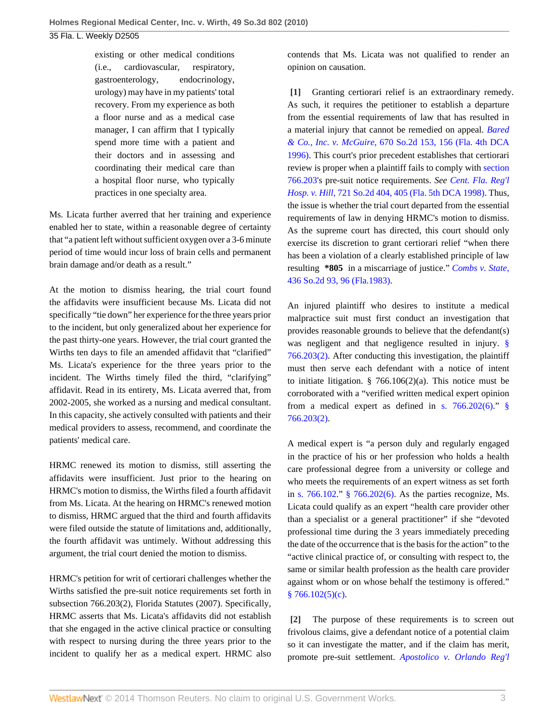# 35 Fla. L. Weekly D2505

existing or other medical conditions (i.e., cardiovascular, respiratory, gastroenterology, endocrinology, urology) may have in my patients' total recovery. From my experience as both a floor nurse and as a medical case manager, I can affirm that I typically spend more time with a patient and their doctors and in assessing and coordinating their medical care than a hospital floor nurse, who typically practices in one specialty area.

Ms. Licata further averred that her training and experience enabled her to state, within a reasonable degree of certainty that "a patient left without sufficient oxygen over a 3-6 minute period of time would incur loss of brain cells and permanent brain damage and/or death as a result."

At the motion to dismiss hearing, the trial court found the affidavits were insufficient because Ms. Licata did not specifically "tie down" her experience for the three years prior to the incident, but only generalized about her experience for the past thirty-one years. However, the trial court granted the Wirths ten days to file an amended affidavit that "clarified" Ms. Licata's experience for the three years prior to the incident. The Wirths timely filed the third, "clarifying" affidavit. Read in its entirety, Ms. Licata averred that, from 2002-2005, she worked as a nursing and medical consultant. In this capacity, she actively consulted with patients and their medical providers to assess, recommend, and coordinate the patients' medical care.

HRMC renewed its motion to dismiss, still asserting the affidavits were insufficient. Just prior to the hearing on HRMC's motion to dismiss, the Wirths filed a fourth affidavit from Ms. Licata. At the hearing on HRMC's renewed motion to dismiss, HRMC argued that the third and fourth affidavits were filed outside the statute of limitations and, additionally, the fourth affidavit was untimely. Without addressing this argument, the trial court denied the motion to dismiss.

HRMC's petition for writ of certiorari challenges whether the Wirths satisfied the pre-suit notice requirements set forth in subsection 766.203(2), Florida Statutes (2007). Specifically, HRMC asserts that Ms. Licata's affidavits did not establish that she engaged in the active clinical practice or consulting with respect to nursing during the three years prior to the incident to qualify her as a medical expert. HRMC also contends that Ms. Licata was not qualified to render an opinion on causation.

<span id="page-2-0"></span>**[\[1\]](#page-0-1)** Granting certiorari relief is an extraordinary remedy. As such, it requires the petitioner to establish a departure from the essential requirements of law that has resulted in a material injury that cannot be remedied on appeal. *[Bared](http://www.westlaw.com/Link/Document/FullText?findType=Y&serNum=1996073525&pubNum=735&fi=co_pp_sp_735_156&originationContext=document&vr=3.0&rs=cblt1.0&transitionType=DocumentItem&contextData=(sc.Default)#co_pp_sp_735_156) & Co., Inc. v. McGuire,* [670 So.2d 153, 156 \(Fla. 4th DCA](http://www.westlaw.com/Link/Document/FullText?findType=Y&serNum=1996073525&pubNum=735&fi=co_pp_sp_735_156&originationContext=document&vr=3.0&rs=cblt1.0&transitionType=DocumentItem&contextData=(sc.Default)#co_pp_sp_735_156) [1996\)](http://www.westlaw.com/Link/Document/FullText?findType=Y&serNum=1996073525&pubNum=735&fi=co_pp_sp_735_156&originationContext=document&vr=3.0&rs=cblt1.0&transitionType=DocumentItem&contextData=(sc.Default)#co_pp_sp_735_156). This court's prior precedent establishes that certiorari review is proper when a plaintiff fails to comply with [section](http://www.westlaw.com/Link/Document/FullText?findType=L&pubNum=1000006&cite=FLSTS766.203&originatingDoc=I3af20621ee4811df88699d6fd571daba&refType=LQ&originationContext=document&vr=3.0&rs=cblt1.0&transitionType=DocumentItem&contextData=(sc.Default)) [766.203](http://www.westlaw.com/Link/Document/FullText?findType=L&pubNum=1000006&cite=FLSTS766.203&originatingDoc=I3af20621ee4811df88699d6fd571daba&refType=LQ&originationContext=document&vr=3.0&rs=cblt1.0&transitionType=DocumentItem&contextData=(sc.Default))'s pre-suit notice requirements. *See [Cent. Fla. Reg'l](http://www.westlaw.com/Link/Document/FullText?findType=Y&serNum=1998241037&pubNum=735&fi=co_pp_sp_735_405&originationContext=document&vr=3.0&rs=cblt1.0&transitionType=DocumentItem&contextData=(sc.Default)#co_pp_sp_735_405) Hosp. v. Hill,* [721 So.2d 404, 405 \(Fla. 5th DCA 1998\).](http://www.westlaw.com/Link/Document/FullText?findType=Y&serNum=1998241037&pubNum=735&fi=co_pp_sp_735_405&originationContext=document&vr=3.0&rs=cblt1.0&transitionType=DocumentItem&contextData=(sc.Default)#co_pp_sp_735_405) Thus, the issue is whether the trial court departed from the essential requirements of law in denying HRMC's motion to dismiss. As the supreme court has directed, this court should only exercise its discretion to grant certiorari relief "when there has been a violation of a clearly established principle of law resulting **\*805** in a miscarriage of justice." *[Combs v. State,](http://www.westlaw.com/Link/Document/FullText?findType=Y&serNum=1983136320&pubNum=735&fi=co_pp_sp_735_96&originationContext=document&vr=3.0&rs=cblt1.0&transitionType=DocumentItem&contextData=(sc.Default)#co_pp_sp_735_96)* [436 So.2d 93, 96 \(Fla.1983\).](http://www.westlaw.com/Link/Document/FullText?findType=Y&serNum=1983136320&pubNum=735&fi=co_pp_sp_735_96&originationContext=document&vr=3.0&rs=cblt1.0&transitionType=DocumentItem&contextData=(sc.Default)#co_pp_sp_735_96)

An injured plaintiff who desires to institute a medical malpractice suit must first conduct an investigation that provides reasonable grounds to believe that the defendant(s) was negligent and that negligence resulted in injury. [§](http://www.westlaw.com/Link/Document/FullText?findType=L&pubNum=1000006&cite=FLSTS766.203&originatingDoc=I3af20621ee4811df88699d6fd571daba&refType=SP&originationContext=document&vr=3.0&rs=cblt1.0&transitionType=DocumentItem&contextData=(sc.Default)#co_pp_58730000872b1) [766.203\(2\)](http://www.westlaw.com/Link/Document/FullText?findType=L&pubNum=1000006&cite=FLSTS766.203&originatingDoc=I3af20621ee4811df88699d6fd571daba&refType=SP&originationContext=document&vr=3.0&rs=cblt1.0&transitionType=DocumentItem&contextData=(sc.Default)#co_pp_58730000872b1). After conducting this investigation, the plaintiff must then serve each defendant with a notice of intent to initiate litigation.  $\S$  766.106(2)(a). This notice must be corroborated with a "verified written medical expert opinion from a medical expert as defined in s.  $766.202(6)$ ." [§](http://www.westlaw.com/Link/Document/FullText?findType=L&pubNum=1000006&cite=FLSTS766.203&originatingDoc=I3af20621ee4811df88699d6fd571daba&refType=SP&originationContext=document&vr=3.0&rs=cblt1.0&transitionType=DocumentItem&contextData=(sc.Default)#co_pp_58730000872b1) [766.203\(2\)](http://www.westlaw.com/Link/Document/FullText?findType=L&pubNum=1000006&cite=FLSTS766.203&originatingDoc=I3af20621ee4811df88699d6fd571daba&refType=SP&originationContext=document&vr=3.0&rs=cblt1.0&transitionType=DocumentItem&contextData=(sc.Default)#co_pp_58730000872b1).

A medical expert is "a person duly and regularly engaged in the practice of his or her profession who holds a health care professional degree from a university or college and who meets the requirements of an expert witness as set forth in [s. 766.102.](http://www.westlaw.com/Link/Document/FullText?findType=L&pubNum=1000006&cite=FLSTS766.102&originatingDoc=I3af20621ee4811df88699d6fd571daba&refType=LQ&originationContext=document&vr=3.0&rs=cblt1.0&transitionType=DocumentItem&contextData=(sc.Default))" [§ 766.202\(6\).](http://www.westlaw.com/Link/Document/FullText?findType=L&pubNum=1000006&cite=FLSTS766.202&originatingDoc=I3af20621ee4811df88699d6fd571daba&refType=SP&originationContext=document&vr=3.0&rs=cblt1.0&transitionType=DocumentItem&contextData=(sc.Default)#co_pp_1e9a0000fd6a3) As the parties recognize, Ms. Licata could qualify as an expert "health care provider other than a specialist or a general practitioner" if she "devoted professional time during the 3 years immediately preceding the date of the occurrence that is the basis for the action" to the "active clinical practice of, or consulting with respect to, the same or similar health profession as the health care provider against whom or on whose behalf the testimony is offered."  $§ 766.102(5)(c).$ 

<span id="page-2-1"></span>**[\[2\]](#page-0-2)** The purpose of these requirements is to screen out frivolous claims, give a defendant notice of a potential claim so it can investigate the matter, and if the claim has merit, promote pre-suit settlement. *[Apostolico v. Orlando Reg'l](http://www.westlaw.com/Link/Document/FullText?findType=Y&serNum=2004259570&pubNum=735&fi=co_pp_sp_735_286&originationContext=document&vr=3.0&rs=cblt1.0&transitionType=DocumentItem&contextData=(sc.Default)#co_pp_sp_735_286)*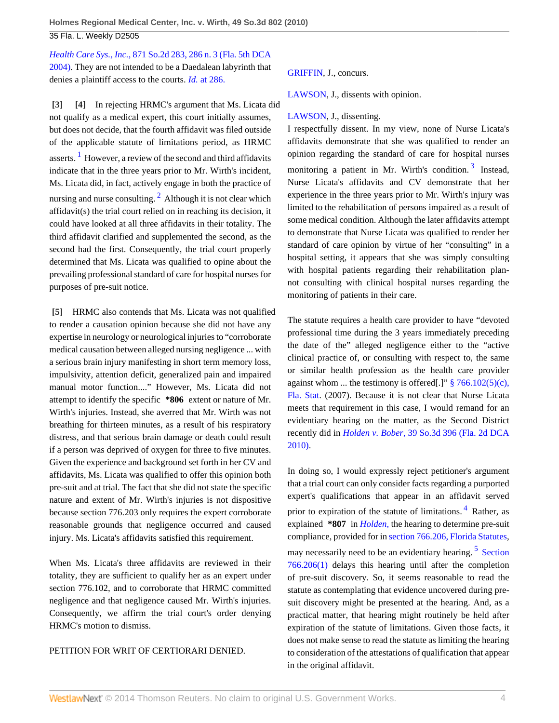*Health Care Sys., Inc.,* [871 So.2d 283, 286 n. 3 \(Fla. 5th DCA](http://www.westlaw.com/Link/Document/FullText?findType=Y&serNum=2004259570&pubNum=735&fi=co_pp_sp_735_286&originationContext=document&vr=3.0&rs=cblt1.0&transitionType=DocumentItem&contextData=(sc.Default)#co_pp_sp_735_286)

[2004\)](http://www.westlaw.com/Link/Document/FullText?findType=Y&serNum=2004259570&pubNum=735&fi=co_pp_sp_735_286&originationContext=document&vr=3.0&rs=cblt1.0&transitionType=DocumentItem&contextData=(sc.Default)#co_pp_sp_735_286). They are not intended to be a Daedalean labyrinth that denies a plaintiff access to the courts. *Id.* [at 286.](http://www.westlaw.com/Link/Document/FullText?findType=Y&serNum=2004259570&originationContext=document&vr=3.0&rs=cblt1.0&transitionType=DocumentItem&contextData=(sc.Default))

<span id="page-3-4"></span><span id="page-3-3"></span><span id="page-3-1"></span><span id="page-3-0"></span>**[\[3\]](#page-0-0) [\[4\]](#page-0-3)** In rejecting HRMC's argument that Ms. Licata did not qualify as a medical expert, this court initially assumes, but does not decide, that the fourth affidavit was filed outside of the applicable statute of limitations period, as HRMC asserts.  $\frac{1}{1}$  $\frac{1}{1}$  $\frac{1}{1}$  However, a review of the second and third affidavits indicate that in the three years prior to Mr. Wirth's incident, Ms. Licata did, in fact, actively engage in both the practice of nursing and nurse consulting.<sup>[2](#page-4-1)</sup> Although it is not clear which affidavit(s) the trial court relied on in reaching its decision, it could have looked at all three affidavits in their totality. The third affidavit clarified and supplemented the second, as the second had the first. Consequently, the trial court properly determined that Ms. Licata was qualified to opine about the prevailing professional standard of care for hospital nurses for purposes of pre-suit notice.

<span id="page-3-2"></span>**[\[5\]](#page-1-0)** HRMC also contends that Ms. Licata was not qualified to render a causation opinion because she did not have any expertise in neurology or neurological injuries to "corroborate medical causation between alleged nursing negligence ... with a serious brain injury manifesting in short term memory loss, impulsivity, attention deficit, generalized pain and impaired manual motor function...." However, Ms. Licata did not attempt to identify the specific **\*806** extent or nature of Mr. Wirth's injuries. Instead, she averred that Mr. Wirth was not breathing for thirteen minutes, as a result of his respiratory distress, and that serious brain damage or death could result if a person was deprived of oxygen for three to five minutes. Given the experience and background set forth in her CV and affidavits, Ms. Licata was qualified to offer this opinion both pre-suit and at trial. The fact that she did not state the specific nature and extent of Mr. Wirth's injuries is not dispositive because section 776.203 only requires the expert corroborate reasonable grounds that negligence occurred and caused injury. Ms. Licata's affidavits satisfied this requirement.

When Ms. Licata's three affidavits are reviewed in their totality, they are sufficient to qualify her as an expert under section 776.102, and to corroborate that HRMC committed negligence and that negligence caused Mr. Wirth's injuries. Consequently, we affirm the trial court's order denying HRMC's motion to dismiss.

# PETITION FOR WRIT OF CERTIORARI DENIED.

[GRIFFIN,](http://www.westlaw.com/Link/Document/FullText?findType=h&pubNum=176284&cite=0153455501&originatingDoc=I3af20621ee4811df88699d6fd571daba&refType=RQ&originationContext=document&vr=3.0&rs=cblt1.0&transitionType=DocumentItem&contextData=(sc.Default)) J., concurs.

[LAWSON,](http://www.westlaw.com/Link/Document/FullText?findType=h&pubNum=176284&cite=0126678901&originatingDoc=I3af20621ee4811df88699d6fd571daba&refType=RQ&originationContext=document&vr=3.0&rs=cblt1.0&transitionType=DocumentItem&contextData=(sc.Default)) J., dissents with opinion.

# [LAWSON,](http://www.westlaw.com/Link/Document/FullText?findType=h&pubNum=176284&cite=0126678901&originatingDoc=I3af20621ee4811df88699d6fd571daba&refType=RQ&originationContext=document&vr=3.0&rs=cblt1.0&transitionType=DocumentItem&contextData=(sc.Default)) J., dissenting.

<span id="page-3-5"></span>I respectfully dissent. In my view, none of Nurse Licata's affidavits demonstrate that she was qualified to render an opinion regarding the standard of care for hospital nurses monitoring a patient in Mr. Wirth's condition.<sup>[3](#page-4-2)</sup> Instead, Nurse Licata's affidavits and CV demonstrate that her experience in the three years prior to Mr. Wirth's injury was limited to the rehabilitation of persons impaired as a result of some medical condition. Although the later affidavits attempt to demonstrate that Nurse Licata was qualified to render her standard of care opinion by virtue of her "consulting" in a hospital setting, it appears that she was simply consulting with hospital patients regarding their rehabilitation plannot consulting with clinical hospital nurses regarding the monitoring of patients in their care.

The statute requires a health care provider to have "devoted professional time during the 3 years immediately preceding the date of the" alleged negligence either to the "active clinical practice of, or consulting with respect to, the same or similar health profession as the health care provider against whom ... the testimony is offered.]"  $\frac{8}{3}$  766.102(5)(c), [Fla. Stat.](http://www.westlaw.com/Link/Document/FullText?findType=L&pubNum=1000006&cite=FLSTS766.102&originatingDoc=I3af20621ee4811df88699d6fd571daba&refType=SP&originationContext=document&vr=3.0&rs=cblt1.0&transitionType=DocumentItem&contextData=(sc.Default)#co_pp_2c980000aa201) (2007). Because it is not clear that Nurse Licata meets that requirement in this case, I would remand for an evidentiary hearing on the matter, as the Second District recently did in *Holden v. Bober,* [39 So.3d 396 \(Fla. 2d DCA](http://www.westlaw.com/Link/Document/FullText?findType=Y&serNum=2022360226&pubNum=3926&originationContext=document&vr=3.0&rs=cblt1.0&transitionType=DocumentItem&contextData=(sc.Default)) [2010\)](http://www.westlaw.com/Link/Document/FullText?findType=Y&serNum=2022360226&pubNum=3926&originationContext=document&vr=3.0&rs=cblt1.0&transitionType=DocumentItem&contextData=(sc.Default)).

<span id="page-3-7"></span><span id="page-3-6"></span>In doing so, I would expressly reject petitioner's argument that a trial court can only consider facts regarding a purported expert's qualifications that appear in an affidavit served prior to expiration of the statute of limitations. <sup>[4](#page-4-3)</sup> Rather, as explained **\*807** in *[Holden,](http://www.westlaw.com/Link/Document/FullText?findType=Y&serNum=2022360226&originationContext=document&vr=3.0&rs=cblt1.0&transitionType=DocumentItem&contextData=(sc.Default))* the hearing to determine pre-suit compliance, provided for in [section 766.206, Florida Statutes,](http://www.westlaw.com/Link/Document/FullText?findType=L&pubNum=1000006&cite=FLSTS766.206&originatingDoc=I3af20621ee4811df88699d6fd571daba&refType=LQ&originationContext=document&vr=3.0&rs=cblt1.0&transitionType=DocumentItem&contextData=(sc.Default)) may necessarily need to be an evidentiary hearing.<sup>[5](#page-4-4)</sup> [Section](http://www.westlaw.com/Link/Document/FullText?findType=L&pubNum=1000006&cite=FLSTS766.206&originatingDoc=I3af20621ee4811df88699d6fd571daba&refType=SP&originationContext=document&vr=3.0&rs=cblt1.0&transitionType=DocumentItem&contextData=(sc.Default)#co_pp_f1c50000821b0) [766.206\(1\)](http://www.westlaw.com/Link/Document/FullText?findType=L&pubNum=1000006&cite=FLSTS766.206&originatingDoc=I3af20621ee4811df88699d6fd571daba&refType=SP&originationContext=document&vr=3.0&rs=cblt1.0&transitionType=DocumentItem&contextData=(sc.Default)#co_pp_f1c50000821b0) delays this hearing until after the completion of pre-suit discovery. So, it seems reasonable to read the statute as contemplating that evidence uncovered during presuit discovery might be presented at the hearing. And, as a practical matter, that hearing might routinely be held after expiration of the statute of limitations. Given those facts, it does not make sense to read the statute as limiting the hearing to consideration of the attestations of qualification that appear in the original affidavit.